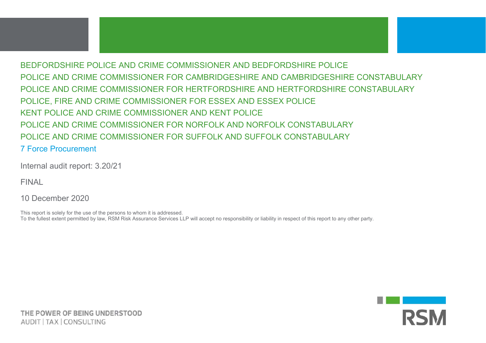## BEDFORDSHIRE POLICE AND CRIME COMMISSIONER AND BEDFORDSHIRE POLICE POLICE AND CRIME COMMISSIONER FOR CAMBRIDGESHIRE AND CAMBRIDGESHIRE CONSTABULARY POLICE AND CRIME COMMISSIONER FOR HERTFORDSHIRE AND HERTFORDSHIRE CONSTABULARY POLICE, FIRE AND CRIME COMMISSIONER FOR ESSEX AND ESSEX POLICE KENT POLICE AND CRIME COMMISSIONER AND KENT POLICE POLICE AND CRIME COMMISSIONER FOR NORFOLK AND NORFOLK CONSTABULARY POLICE AND CRIME COMMISSIONER FOR SUFFOLK AND SUFFOLK CONSTABULARY 7 Force Procurement

Internal audit report: 3.20/21

FINAL

10 December 2020

This report is solely for the use of the persons to whom it is addressed. To the fullest extent permitted by law, RSM Risk Assurance Services LLP will accept no responsibility or liability in respect of this report to any other party.

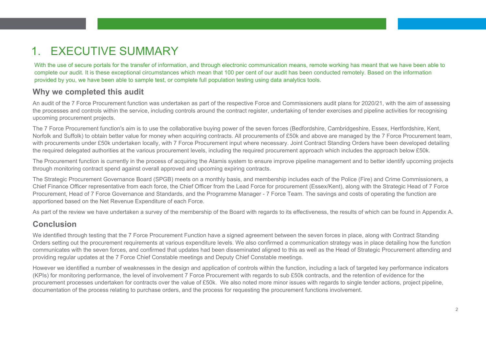# 1. EXECUTIVE SUMMARY

With the use of secure portals for the transfer of information, and through electronic communication means, remote working has meant that we have been able to complete our audit. It is these exceptional circumstances which mean that 100 per cent of our audit has been conducted remotely. Based on the information provided by you, we have been able to sample test, or complete full population testing using data analytics tools.

## **Why we completed this audit**

An audit of the 7 Force Procurement function was undertaken as part of the respective Force and Commissioners audit plans for 2020/21, with the aim of assessing the processes and controls within the service, including controls around the contract register, undertaking of tender exercises and pipeline activities for recognising upcoming procurement projects.

The 7 Force Procurement function's aim is to use the collaborative buying power of the seven forces (Bedfordshire, Cambridgeshire, Essex, Hertfordshire, Kent, Norfolk and Suffolk) to obtain better value for money when acquiring contracts. All procurements of £50k and above are managed by the 7 Force Procurement team, with procurements under £50k undertaken locally, with 7 Force Procurement input where necessary. Joint Contract Standing Orders have been developed detailing the required delegated authorities at the various procurement levels, including the required procurement approach which includes the approach below £50k.

The Procurement function is currently in the process of acquiring the Atamis system to ensure improve pipeline management and to better identify upcoming projects through monitoring contract spend against overall approved and upcoming expiring contracts.

The Strategic Procurement Governance Board (SPGB) meets on a monthly basis, and membership includes each of the Police (Fire) and Crime Commissioners, a Chief Finance Officer representative from each force, the Chief Officer from the Lead Force for procurement (Essex/Kent), along with the Strategic Head of 7 Force Procurement, Head of 7 Force Governance and Standards, and the Programme Manager - 7 Force Team. The savings and costs of operating the function are apportioned based on the Net Revenue Expenditure of each Force.

As part of the review we have undertaken a survey of the membership of the Board with regards to its effectiveness, the results of which can be found in Appendix A.

## **Conclusion**

We identified through testing that the 7 Force Procurement Function have a signed agreement between the seven forces in place, along with Contract Standing Orders setting out the procurement requirements at various expenditure levels. We also confirmed a communication strategy was in place detailing how the function communicates with the seven forces, and confirmed that updates had been disseminated aligned to this as well as the Head of Strategic Procurement attending and providing regular updates at the 7 Force Chief Constable meetings and Deputy Chief Constable meetings.

However we identified a number of weaknesses in the design and application of controls within the function, including a lack of targeted key performance indicators (KPIs) for monitoring performance, the level of involvement 7 Force Procurement with regards to sub £50k contracts, and the retention of evidence for the procurement processes undertaken for contracts over the value of £50k. We also noted more minor issues with regards to single tender actions, project pipeline, documentation of the process relating to purchase orders, and the process for requesting the procurement functions involvement.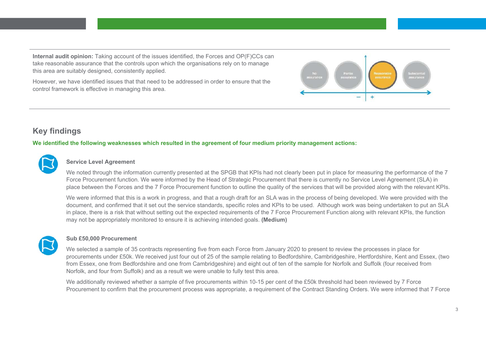**Internal audit opinion:** Taking account of the issues identified, the Forces and OP(F)CCs can take reasonable assurance that the controls upon which the organisations rely on to manage this area are suitably designed, consistently applied.

However, we have identified issues that that need to be addressed in order to ensure that the control framework is effective in managing this area.



## **Key findings**

**We identified the following weaknesses which resulted in the agreement of four medium priority management actions:**



#### **Service Level Agreement**

We noted through the information currently presented at the SPGB that KPIs had not clearly been put in place for measuring the performance of the 7 Force Procurement function. We were informed by the Head of Strategic Procurement that there is currently no Service Level Agreement (SLA) in place between the Forces and the 7 Force Procurement function to outline the quality of the services that will be provided along with the relevant KPIs.

We were informed that this is a work in progress, and that a rough draft for an SLA was in the process of being developed. We were provided with the document, and confirmed that it set out the service standards, specific roles and KPIs to be used. Although work was being undertaken to put an SLA in place, there is a risk that without setting out the expected requirements of the 7 Force Procurement Function along with relevant KPIs, the function may not be appropriately monitored to ensure it is achieving intended goals. **(Medium)** 



#### **Sub £50,000 Procurement**

We selected a sample of 35 contracts representing five from each Force from January 2020 to present to review the processes in place for procurements under £50k. We received just four out of 25 of the sample relating to Bedfordshire, Cambridgeshire, Hertfordshire, Kent and Essex, (two from Essex, one from Bedfordshire and one from Cambridgeshire) and eight out of ten of the sample for Norfolk and Suffolk (four received from Norfolk, and four from Suffolk) and as a result we were unable to fully test this area.

We additionally reviewed whether a sample of five procurements within 10-15 per cent of the £50k threshold had been reviewed by 7 Force Procurement to confirm that the procurement process was appropriate, a requirement of the Contract Standing Orders. We were informed that 7 Force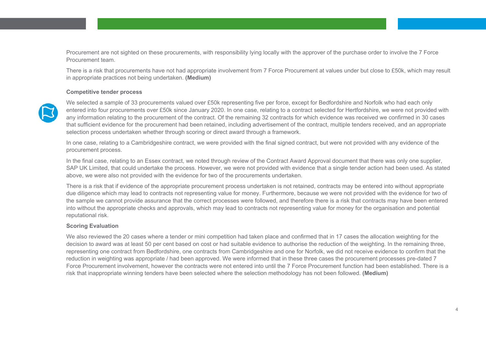Procurement are not sighted on these procurements, with responsibility lying locally with the approver of the purchase order to involve the 7 Force Procurement team.

There is a risk that procurements have not had appropriate involvement from 7 Force Procurement at values under but close to £50k, which may result in appropriate practices not being undertaken. **(Medium)** 

#### **Competitive tender process**



We selected a sample of 33 procurements valued over £50k representing five per force, except for Bedfordshire and Norfolk who had each only entered into four procurements over £50k since January 2020. In one case, relating to a contract selected for Hertfordshire, we were not provided with any information relating to the procurement of the contract. Of the remaining 32 contracts for which evidence was received we confirmed in 30 cases that sufficient evidence for the procurement had been retained, including advertisement of the contract, multiple tenders received, and an appropriate selection process undertaken whether through scoring or direct award through a framework.

In one case, relating to a Cambridgeshire contract, we were provided with the final signed contract, but were not provided with any evidence of the procurement process.

In the final case, relating to an Essex contract, we noted through review of the Contract Award Approval document that there was only one supplier, SAP UK Limited, that could undertake the process. However, we were not provided with evidence that a single tender action had been used. As stated above, we were also not provided with the evidence for two of the procurements undertaken.

There is a risk that if evidence of the appropriate procurement process undertaken is not retained, contracts may be entered into without appropriate due diligence which may lead to contracts not representing value for money. Furthermore, because we were not provided with the evidence for two of the sample we cannot provide assurance that the correct processes were followed, and therefore there is a risk that contracts may have been entered into without the appropriate checks and approvals, which may lead to contracts not representing value for money for the organisation and potential reputational risk.

#### **Scoring Evaluation**

We also reviewed the 20 cases where a tender or mini competition had taken place and confirmed that in 17 cases the allocation weighting for the decision to award was at least 50 per cent based on cost or had suitable evidence to authorise the reduction of the weighting. In the remaining three, representing one contract from Bedfordshire, one contracts from Cambridgeshire and one for Norfolk, we did not receive evidence to confirm that the reduction in weighting was appropriate / had been approved. We were informed that in these three cases the procurement processes pre-dated 7 Force Procurement involvement, however the contracts were not entered into until the 7 Force Procurement function had been established. There is a risk that inappropriate winning tenders have been selected where the selection methodology has not been followed. **(Medium)**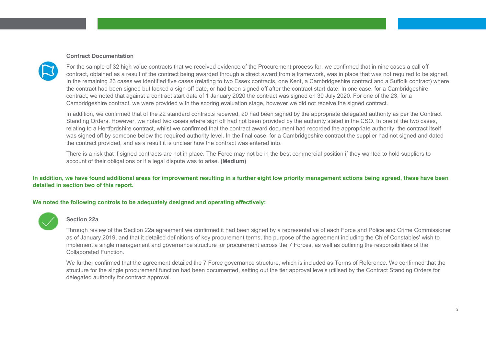#### **Contract Documentation**



For the sample of 32 high value contracts that we received evidence of the Procurement process for, we confirmed that in nine cases a call off contract, obtained as a result of the contract being awarded through a direct award from a framework, was in place that was not required to be signed. In the remaining 23 cases we identified five cases (relating to two Essex contracts, one Kent, a Cambridgeshire contract and a Suffolk contract) where the contract had been signed but lacked a sign-off date, or had been signed off after the contract start date. In one case, for a Cambridgeshire contract, we noted that against a contract start date of 1 January 2020 the contract was signed on 30 July 2020. For one of the 23, for a Cambridgeshire contract, we were provided with the scoring evaluation stage, however we did not receive the signed contract.

In addition, we confirmed that of the 22 standard contracts received, 20 had been signed by the appropriate delegated authority as per the Contract Standing Orders. However, we noted two cases where sign off had not been provided by the authority stated in the CSO. In one of the two cases, relating to a Hertfordshire contract, whilst we confirmed that the contract award document had recorded the appropriate authority, the contract itself was signed off by someone below the required authority level. In the final case, for a Cambridgeshire contract the supplier had not signed and dated the contract provided, and as a result it is unclear how the contract was entered into.

There is a risk that if signed contracts are not in place. The Force may not be in the best commercial position if they wanted to hold suppliers to account of their obligations or if a legal dispute was to arise. **(Medium)** 

**In addition, we have found additional areas for improvement resulting in a further eight low priority management actions being agreed, these have been detailed in section two of this report.**

#### **We noted the following controls to be adequately designed and operating effectively:**



#### **Section 22a**

Through review of the Section 22a agreement we confirmed it had been signed by a representative of each Force and Police and Crime Commissioner as of January 2019, and that it detailed definitions of key procurement terms, the purpose of the agreement including the Chief Constables' wish to implement a single management and governance structure for procurement across the 7 Forces, as well as outlining the responsibilities of the Collaborated Function.

We further confirmed that the agreement detailed the 7 Force governance structure, which is included as Terms of Reference. We confirmed that the structure for the single procurement function had been documented, setting out the tier approval levels utilised by the Contract Standing Orders for delegated authority for contract approval.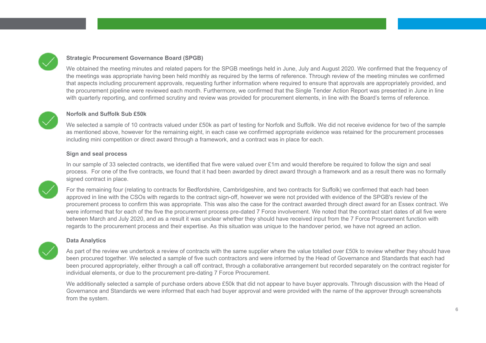

#### **Strategic Procurement Governance Board (SPGB)**

We obtained the meeting minutes and related papers for the SPGB meetings held in June, July and August 2020. We confirmed that the frequency of the meetings was appropriate having been held monthly as required by the terms of reference. Through review of the meeting minutes we confirmed that aspects including procurement approvals, requesting further information where required to ensure that approvals are appropriately provided, and the procurement pipeline were reviewed each month. Furthermore, we confirmed that the Single Tender Action Report was presented in June in line with quarterly reporting, and confirmed scrutiny and review was provided for procurement elements, in line with the Board's terms of reference.



#### **Norfolk and Suffolk Sub £50k**

We selected a sample of 10 contracts valued under £50k as part of testing for Norfolk and Suffolk. We did not receive evidence for two of the sample as mentioned above, however for the remaining eight, in each case we confirmed appropriate evidence was retained for the procurement processes including mini competition or direct award through a framework, and a contract was in place for each.

#### **Sign and seal process**

In our sample of 33 selected contracts, we identified that five were valued over £1m and would therefore be required to follow the sign and seal process. For one of the five contracts, we found that it had been awarded by direct award through a framework and as a result there was no formally signed contract in place.



For the remaining four (relating to contracts for Bedfordshire, Cambridgeshire, and two contracts for Suffolk) we confirmed that each had been approved in line with the CSOs with regards to the contract sign-off, however we were not provided with evidence of the SPGB's review of the procurement process to confirm this was appropriate. This was also the case for the contract awarded through direct award for an Essex contract. We were informed that for each of the five the procurement process pre-dated 7 Force involvement. We noted that the contract start dates of all five were between March and July 2020, and as a result it was unclear whether they should have received input from the 7 Force Procurement function with regards to the procurement process and their expertise. As this situation was unique to the handover period, we have not agreed an action.



#### **Data Analytics**

As part of the review we undertook a review of contracts with the same supplier where the value totalled over £50k to review whether they should have been procured together. We selected a sample of five such contractors and were informed by the Head of Governance and Standards that each had been procured appropriately, either through a call off contract, through a collaborative arrangement but recorded separately on the contract register for individual elements, or due to the procurement pre-dating 7 Force Procurement.

We additionally selected a sample of purchase orders above £50k that did not appear to have buyer approvals. Through discussion with the Head of Governance and Standards we were informed that each had buyer approval and were provided with the name of the approver through screenshots from the system.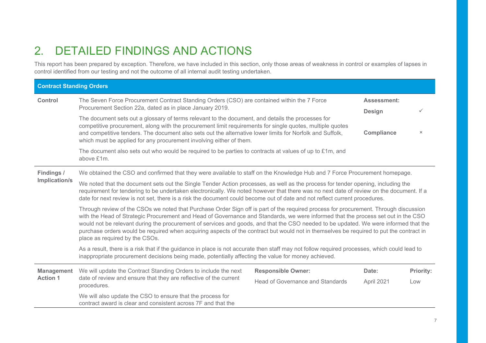# 2. DETAILED FINDINGS AND ACTIONS

This report has been prepared by exception. Therefore, we have included in this section, only those areas of weakness in control or examples of lapses in control identified from our testing and not the outcome of all internal audit testing undertaken.

| <b>Contract Standing Orders</b>                                                                                                                                                                                                                                                                                                                                                                                                                                                                                                                                                                |                                                                                                                                                                                                                                                                                                                                                                                                           |                                  |                                     |           |
|------------------------------------------------------------------------------------------------------------------------------------------------------------------------------------------------------------------------------------------------------------------------------------------------------------------------------------------------------------------------------------------------------------------------------------------------------------------------------------------------------------------------------------------------------------------------------------------------|-----------------------------------------------------------------------------------------------------------------------------------------------------------------------------------------------------------------------------------------------------------------------------------------------------------------------------------------------------------------------------------------------------------|----------------------------------|-------------------------------------|-----------|
| <b>Control</b>                                                                                                                                                                                                                                                                                                                                                                                                                                                                                                                                                                                 | The Seven Force Procurement Contract Standing Orders (CSO) are contained within the 7 Force<br>Procurement Section 22a, dated as in place January 2019.                                                                                                                                                                                                                                                   |                                  | <b>Assessment:</b><br><b>Design</b> | ✓         |
|                                                                                                                                                                                                                                                                                                                                                                                                                                                                                                                                                                                                | The document sets out a glossary of terms relevant to the document, and details the processes for<br>competitive procurement, along with the procurement limit requirements for single quotes, multiple quotes<br>and competitive tenders. The document also sets out the alternative lower limits for Norfolk and Suffolk,<br>which must be applied for any procurement involving either of them.        |                                  | Compliance                          | $\times$  |
|                                                                                                                                                                                                                                                                                                                                                                                                                                                                                                                                                                                                | The document also sets out who would be required to be parties to contracts at values of up to $£1m$ , and<br>above £1m.                                                                                                                                                                                                                                                                                  |                                  |                                     |           |
| Findings /                                                                                                                                                                                                                                                                                                                                                                                                                                                                                                                                                                                     | We obtained the CSO and confirmed that they were available to staff on the Knowledge Hub and 7 Force Procurement homepage.                                                                                                                                                                                                                                                                                |                                  |                                     |           |
| Implication/s                                                                                                                                                                                                                                                                                                                                                                                                                                                                                                                                                                                  | We noted that the document sets out the Single Tender Action processes, as well as the process for tender opening, including the<br>requirement for tendering to be undertaken electronically. We noted however that there was no next date of review on the document. If a<br>date for next review is not set, there is a risk the document could become out of date and not reflect current procedures. |                                  |                                     |           |
| Through review of the CSOs we noted that Purchase Order Sign off is part of the required process for procurement. Through discussion<br>with the Head of Strategic Procurement and Head of Governance and Standards, we were informed that the process set out in the CSO<br>would not be relevant during the procurement of services and goods, and that the CSO needed to be updated. We were informed that the<br>purchase orders would be required when acquiring aspects of the contract but would not in themselves be required to put the contract in<br>place as required by the CSOs. |                                                                                                                                                                                                                                                                                                                                                                                                           |                                  |                                     |           |
|                                                                                                                                                                                                                                                                                                                                                                                                                                                                                                                                                                                                | As a result, there is a risk that if the guidance in place is not accurate then staff may not follow required processes, which could lead to<br>inappropriate procurement decisions being made, potentially affecting the value for money achieved.                                                                                                                                                       |                                  |                                     |           |
| <b>Management</b>                                                                                                                                                                                                                                                                                                                                                                                                                                                                                                                                                                              | We will update the Contract Standing Orders to include the next                                                                                                                                                                                                                                                                                                                                           | <b>Responsible Owner:</b>        | Date:                               | Priority: |
| <b>Action 1</b>                                                                                                                                                                                                                                                                                                                                                                                                                                                                                                                                                                                | date of review and ensure that they are reflective of the current<br>procedures.                                                                                                                                                                                                                                                                                                                          | Head of Governance and Standards | April 2021                          | Low       |
|                                                                                                                                                                                                                                                                                                                                                                                                                                                                                                                                                                                                | We will also update the CSO to ensure that the process for<br>contract award is clear and consistent across 7F and that the                                                                                                                                                                                                                                                                               |                                  |                                     |           |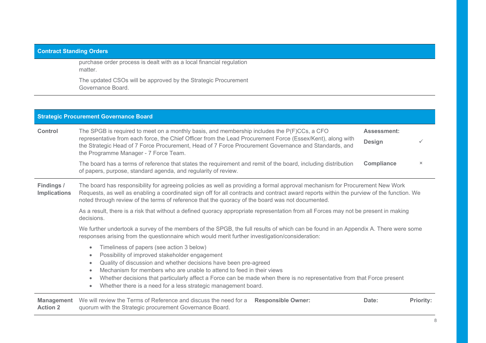### **Contract Standing Orders**

purchase order process is dealt with as a local financial regulation matter.

The updated CSOs will be approved by the Strategic Procurement Governance Board.

|                                      | <b>Strategic Procurement Governance Board</b>                                                                                                                                                                                                                                                                                                                                                                                                                                                                                     |                              |                  |
|--------------------------------------|-----------------------------------------------------------------------------------------------------------------------------------------------------------------------------------------------------------------------------------------------------------------------------------------------------------------------------------------------------------------------------------------------------------------------------------------------------------------------------------------------------------------------------------|------------------------------|------------------|
| <b>Control</b>                       | The SPGB is required to meet on a monthly basis, and membership includes the $P(F)CCs$ , a CFO<br>representative from each force, the Chief Officer from the Lead Procurement Force (Essex/Kent), along with<br>the Strategic Head of 7 Force Procurement, Head of 7 Force Procurement Governance and Standards, and<br>the Programme Manager - 7 Force Team.                                                                                                                                                                     | Assessment:<br><b>Design</b> | $\checkmark$     |
|                                      | The board has a terms of reference that states the requirement and remit of the board, including distribution<br>of papers, purpose, standard agenda, and regularity of review.                                                                                                                                                                                                                                                                                                                                                   | <b>Compliance</b>            | $\times$         |
| Findings /<br><b>Implications</b>    | The board has responsibility for agreeing policies as well as providing a formal approval mechanism for Procurement New Work<br>Requests, as well as enabling a coordinated sign off for all contracts and contract award reports within the purview of the function. We<br>noted through review of the terms of reference that the quoracy of the board was not documented.<br>As a result, there is a risk that without a defined quoracy appropriate representation from all Forces may not be present in making<br>decisions. |                              |                  |
|                                      |                                                                                                                                                                                                                                                                                                                                                                                                                                                                                                                                   |                              |                  |
|                                      | We further undertook a survey of the members of the SPGB, the full results of which can be found in an Appendix A. There were some<br>responses arising from the questionnaire which would merit further investigation/consideration:                                                                                                                                                                                                                                                                                             |                              |                  |
|                                      | Timeliness of papers (see action 3 below)<br>$\bullet$<br>Possibility of improved stakeholder engagement<br>۰<br>Quality of discussion and whether decisions have been pre-agreed<br>۰<br>Mechanism for members who are unable to attend to feed in their views<br>$\bullet$<br>Whether decisions that particularly affect a Force can be made when there is no representative from that Force present<br>۰<br>Whether there is a need for a less strategic management board.<br>$\bullet$                                        |                              |                  |
| <b>Management</b><br><b>Action 2</b> | We will review the Terms of Reference and discuss the need for a<br><b>Responsible Owner:</b><br>quorum with the Strategic procurement Governance Board.                                                                                                                                                                                                                                                                                                                                                                          | Date:                        | <b>Priority:</b> |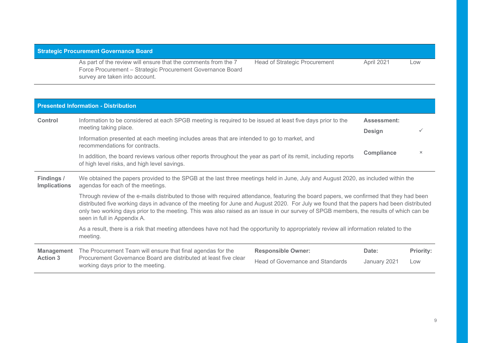### **Strategic Procurement Governance Board**

As part of the review will ensure that the comments from the 7 Force Procurement – Strategic Procurement Governance Board survey are taken into account.

Head of Strategic Procurement April 2021 Low

|                                                                                                                                                                                                             | <b>Presented Information - Distribution</b>                                                                                                                                                                                                                                                                                                                                                                                                                    |                                     |          |  |  |
|-------------------------------------------------------------------------------------------------------------------------------------------------------------------------------------------------------------|----------------------------------------------------------------------------------------------------------------------------------------------------------------------------------------------------------------------------------------------------------------------------------------------------------------------------------------------------------------------------------------------------------------------------------------------------------------|-------------------------------------|----------|--|--|
| <b>Control</b>                                                                                                                                                                                              | Information to be considered at each SPGB meeting is required to be issued at least five days prior to the<br>meeting taking place.                                                                                                                                                                                                                                                                                                                            | <b>Assessment:</b><br><b>Design</b> |          |  |  |
|                                                                                                                                                                                                             | Information presented at each meeting includes areas that are intended to go to market, and<br>recommendations for contracts.                                                                                                                                                                                                                                                                                                                                  |                                     |          |  |  |
|                                                                                                                                                                                                             | In addition, the board reviews various other reports throughout the year as part of its remit, including reports<br>of high level risks, and high level savings.                                                                                                                                                                                                                                                                                               | <b>Compliance</b>                   | $\times$ |  |  |
| Findings /<br>We obtained the papers provided to the SPGB at the last three meetings held in June, July and August 2020, as included within the<br>agendas for each of the meetings.<br><b>Implications</b> |                                                                                                                                                                                                                                                                                                                                                                                                                                                                |                                     |          |  |  |
|                                                                                                                                                                                                             | Through review of the e-mails distributed to those with required attendance, featuring the board papers, we confirmed that they had been<br>distributed five working days in advance of the meeting for June and August 2020. For July we found that the papers had been distributed<br>only two working days prior to the meeting. This was also raised as an issue in our survey of SPGB members, the results of which can be<br>seen in full in Appendix A. |                                     |          |  |  |
|                                                                                                                                                                                                             | As a result, there is a risk that meeting attendees have not had the opportunity to appropriately review all information related to the<br>meeting.                                                                                                                                                                                                                                                                                                            |                                     |          |  |  |
|                                                                                                                                                                                                             |                                                                                                                                                                                                                                                                                                                                                                                                                                                                |                                     |          |  |  |

|                 | <b>Management</b> The Procurement Team will ensure that final agendas for the                          | <b>Responsible Owner:</b>        | Date:        | <b>Priority:</b> |
|-----------------|--------------------------------------------------------------------------------------------------------|----------------------------------|--------------|------------------|
| <b>Action 3</b> | Procurement Governance Board are distributed at least five clear<br>working days prior to the meeting. | Head of Governance and Standards | Januarv 2021 | Low              |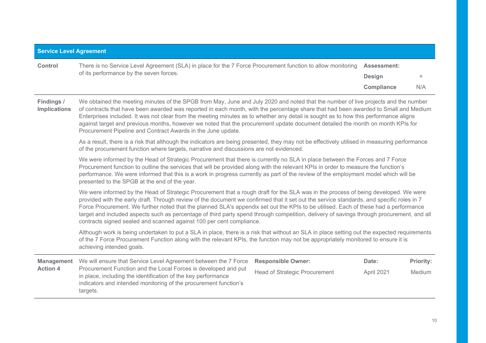#### **Service Level Agreement**

| <b>Control</b> | There is no Service Level Agreement (SLA) in place for the 7 Force Procurement function to allow monitoring Assessment: |                   |     |
|----------------|-------------------------------------------------------------------------------------------------------------------------|-------------------|-----|
|                | of its performance by the seven forces.                                                                                 | <b>Design</b>     |     |
|                |                                                                                                                         | <b>Compliance</b> | N/A |

**Findings / Implications**  We obtained the meeting minutes of the SPGB from May, June and July 2020 and noted that the number of live projects and the number of contracts that have been awarded was reported in each month, with the percentage share that had been awarded to Small and Medium Enterprises included. It was not clear from the meeting minutes as to whether any detail is sought as to how this performance aligns against target and previous months, however we noted that the procurement update document detailed the month on month KPIs for Procurement Pipeline and Contract Awards in the June update.

> As a result, there is a risk that although the indicators are being presented, they may not be effectively utilised in measuring performance of the procurement function where targets, narrative and discussions are not evidenced.

We were informed by the Head of Strategic Procurement that there is currently no SLA in place between the Forces and 7 Force Procurement function to outline the services that will be provided along with the relevant KPIs in order to measure the function's performance. We were informed that this is a work in progress currently as part of the review of the employment model which will be presented to the SPGB at the end of the year.

We were informed by the Head of Strategic Procurement that a rough draft for the SLA was in the process of being developed. We were provided with the early draft. Through review of the document we confirmed that it set out the service standards, and specific roles in 7 Force Procurement. We further noted that the planned SLA's appendix set out the KPIs to be utilised. Each of these had a performance target and included aspects such as percentage of third party spend through competition, delivery of savings through procurement, and all contracts signed sealed and scanned against 100 per cent compliance.

Although work is being undertaken to put a SLA in place, there is a risk that without an SLA in place setting out the expected requirements of the 7 Force Procurement Function along with the relevant KPIs, the function may not be appropriately monitored to ensure it is achieving intended goals.

| Management \    | We will ensure that Service Level Agreement between the 7 Force Responsible Owner:                                                                                                                              |                               | Date:      | <b>Priority:</b> |
|-----------------|-----------------------------------------------------------------------------------------------------------------------------------------------------------------------------------------------------------------|-------------------------------|------------|------------------|
| <b>Action 4</b> | Procurement Function and the Local Forces is developed and put<br>in place, including the identification of the key performance<br>indicators and intended monitoring of the procurement function's<br>targets. | Head of Strategic Procurement | April 2021 | Medium           |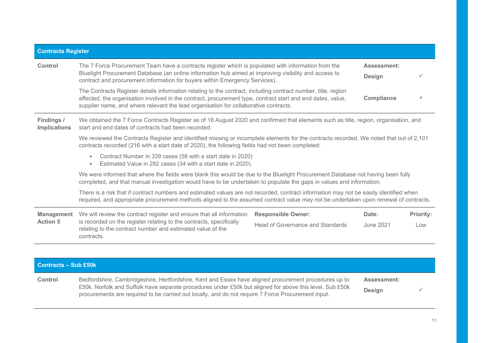| <b>Contracts Register</b>         |                                                                                                                                                                                                                                                                                                                      |                                  |                   |                  |
|-----------------------------------|----------------------------------------------------------------------------------------------------------------------------------------------------------------------------------------------------------------------------------------------------------------------------------------------------------------------|----------------------------------|-------------------|------------------|
| Control                           | The 7 Force Procurement Team have a contracts register which is populated with information from the<br>Bluelight Procurement Database (an online information hub aimed at improving visibility and access to<br>contract and procurement information for buyers within Emergency Services).                          |                                  |                   |                  |
|                                   | The Contracts Register details information relating to the contract, including contract number, title, region<br>affected, the organisation involved in the contract, procurement type, contract start and end dates, value,<br>supplier name, and where relevant the lead organisation for collaborative contracts. |                                  | <b>Compliance</b> | $\times$         |
| Findings /<br><b>Implications</b> | We obtained the 7 Force Contracts Register as of 18 August 2020 and confirmed that elements such as title, region, organisation, and<br>start and end dates of contracts had been recorded.                                                                                                                          |                                  |                   |                  |
|                                   | We reviewed the Contracts Register and identified missing or incomplete elements for the contracts recorded. We noted that out of 2,101<br>contracts recorded (216 with a start date of 2020), the following fields had not been completed:                                                                          |                                  |                   |                  |
|                                   | Contract Number in 339 cases (58 with a start date in 2020)<br>$\bullet$<br>Estimated Value in 282 cases (34 with a start date in 2020).<br>$\bullet$                                                                                                                                                                |                                  |                   |                  |
|                                   | We were informed that where the fields were blank this would be due to the Bluelight Procurement Database not having been fully<br>completed, and that manual investigation would have to be undertaken to populate the gaps in values and information.                                                              |                                  |                   |                  |
|                                   | There is a risk that if contract numbers and estimated values are not recorded, contract information may not be easily identified when<br>required, and appropriate procurement methods aligned to the assumed contract value may not be undertaken upon renewal of contracts.                                       |                                  |                   |                  |
| <b>Management</b>                 | We will review the contract register and ensure that all information                                                                                                                                                                                                                                                 | <b>Responsible Owner:</b>        | Date:             | <b>Priority:</b> |
| <b>Action 5</b>                   | is recorded on the register relating to the contracts, specifically<br>relating to the contract number and estimated value of the<br>contracts.                                                                                                                                                                      | Head of Governance and Standards | June 2021         | Low              |
|                                   |                                                                                                                                                                                                                                                                                                                      |                                  |                   |                  |

| Contracts - Sub £50k |                                                                                                                                                                                                                                                                                                                         |                                     |  |
|----------------------|-------------------------------------------------------------------------------------------------------------------------------------------------------------------------------------------------------------------------------------------------------------------------------------------------------------------------|-------------------------------------|--|
| <b>Control</b>       | Bedfordshire, Cambridgeshire, Hertfordshire, Kent and Essex have aligned procurement procedures up to<br>£50k. Norfolk and Suffolk have separate procedures under £50k but aligned for above this level. Sub £50k<br>procurements are required to be carried out locally, and do not require 7 Force Procurement input. | <b>Assessment:</b><br><b>Design</b> |  |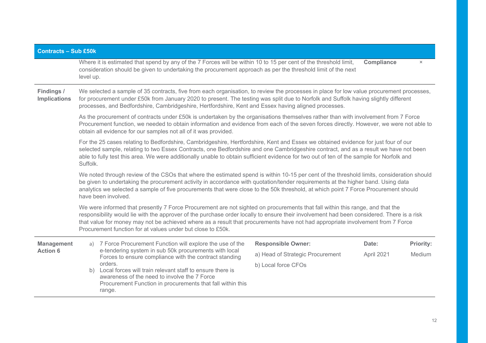| <b>Contracts - Sub £50k</b>                                                                                                                                                                                                                                                                                                                                                                                                                                                 |                                                                                                                                                                                                                                                                                                                                                                                                                                             |                                  |                   |                  |  |
|-----------------------------------------------------------------------------------------------------------------------------------------------------------------------------------------------------------------------------------------------------------------------------------------------------------------------------------------------------------------------------------------------------------------------------------------------------------------------------|---------------------------------------------------------------------------------------------------------------------------------------------------------------------------------------------------------------------------------------------------------------------------------------------------------------------------------------------------------------------------------------------------------------------------------------------|----------------------------------|-------------------|------------------|--|
|                                                                                                                                                                                                                                                                                                                                                                                                                                                                             | Where it is estimated that spend by any of the 7 Forces will be within 10 to 15 per cent of the threshold limit,<br>consideration should be given to undertaking the procurement approach as per the threshold limit of the next<br>level up.                                                                                                                                                                                               |                                  | <b>Compliance</b> | $\times$         |  |
| Findings /<br><b>Implications</b>                                                                                                                                                                                                                                                                                                                                                                                                                                           | We selected a sample of 35 contracts, five from each organisation, to review the processes in place for low value procurement processes,<br>for procurement under £50k from January 2020 to present. The testing was split due to Norfolk and Suffolk having slightly different<br>processes, and Bedfordshire, Cambridgeshire, Hertfordshire, Kent and Essex having aligned processes.                                                     |                                  |                   |                  |  |
|                                                                                                                                                                                                                                                                                                                                                                                                                                                                             | As the procurement of contracts under £50k is undertaken by the organisations themselves rather than with involvement from 7 Force<br>Procurement function, we needed to obtain information and evidence from each of the seven forces directly. However, we were not able to<br>obtain all evidence for our samples not all of it was provided.                                                                                            |                                  |                   |                  |  |
|                                                                                                                                                                                                                                                                                                                                                                                                                                                                             | For the 25 cases relating to Bedfordshire, Cambridgeshire, Hertfordshire, Kent and Essex we obtained evidence for just four of our<br>selected sample, relating to two Essex Contracts, one Bedfordshire and one Cambridgeshire contract, and as a result we have not been<br>able to fully test this area. We were additionally unable to obtain sufficient evidence for two out of ten of the sample for Norfolk and<br>Suffolk.          |                                  |                   |                  |  |
|                                                                                                                                                                                                                                                                                                                                                                                                                                                                             | We noted through review of the CSOs that where the estimated spend is within 10-15 per cent of the threshold limits, consideration should<br>be given to undertaking the procurement activity in accordance with quotation/tender requirements at the higher band. Using data<br>analytics we selected a sample of five procurements that were close to the 50k threshold, at which point 7 Force Procurement should<br>have been involved. |                                  |                   |                  |  |
| We were informed that presently 7 Force Procurement are not sighted on procurements that fall within this range, and that the<br>responsibility would lie with the approver of the purchase order locally to ensure their involvement had been considered. There is a risk<br>that value for money may not be achieved where as a result that procurements have not had appropriate involvement from 7 Force<br>Procurement function for at values under but close to £50k. |                                                                                                                                                                                                                                                                                                                                                                                                                                             |                                  |                   |                  |  |
| <b>Management</b>                                                                                                                                                                                                                                                                                                                                                                                                                                                           | 7 Force Procurement Function will explore the use of the<br>a)                                                                                                                                                                                                                                                                                                                                                                              | <b>Responsible Owner:</b>        | Date:             | <b>Priority:</b> |  |
| <b>Action 6</b>                                                                                                                                                                                                                                                                                                                                                                                                                                                             | e-tendering system in sub 50k procurements with local<br>Forces to ensure compliance with the contract standing                                                                                                                                                                                                                                                                                                                             | a) Head of Strategic Procurement | April 2021        | Medium           |  |
|                                                                                                                                                                                                                                                                                                                                                                                                                                                                             | orders.<br>b) Local forces will train relevant staff to ensure there is<br>awareness of the need to involve the 7 Force<br>Procurement Function in procurements that fall within this<br>range.                                                                                                                                                                                                                                             | b) Local force CFOs              |                   |                  |  |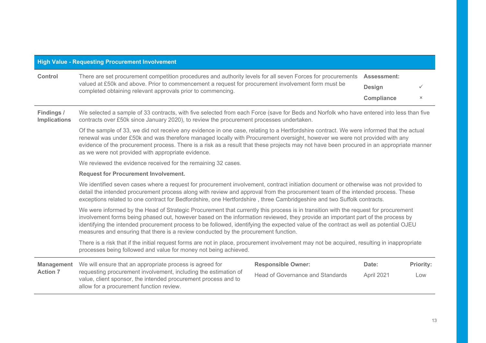|         | <b>High Value - Requesting Procurement Involvement</b>                                                                                                                                                                                                                           |                                                   |  |
|---------|----------------------------------------------------------------------------------------------------------------------------------------------------------------------------------------------------------------------------------------------------------------------------------|---------------------------------------------------|--|
| Control | There are set procurement competition procedures and authority levels for all seven Forces for procurements<br>valued at £50k and above. Prior to commencement a request for procurement involvement form must be<br>completed obtaining relevant approvals prior to commencing. | <b>Assessment:</b><br><b>Design</b><br>Compliance |  |

**Findings / Implications**  We selected a sample of 33 contracts, with five selected from each Force (save for Beds and Norfolk who have entered into less than five contracts over £50k since January 2020), to review the procurement processes undertaken.

> Of the sample of 33, we did not receive any evidence in one case, relating to a Hertfordshire contract. We were informed that the actual renewal was under £50k and was therefore managed locally with Procurement oversight, however we were not provided with any evidence of the procurement process. There is a risk as a result that these projects may not have been procured in an appropriate manner as we were not provided with appropriate evidence.

We reviewed the evidence received for the remaining 32 cases.

#### **Request for Procurement Involvement.**

We identified seven cases where a request for procurement involvement, contract initiation document or otherwise was not provided to detail the intended procurement process along with review and approval from the procurement team of the intended process. These exceptions related to one contract for Bedfordshire, one Hertfordshire , three Cambridgeshire and two Suffolk contracts.

We were informed by the Head of Strategic Procurement that currently this process is in transition with the request for procurement involvement forms being phased out, however based on the information reviewed, they provide an important part of the process by identifying the intended procurement process to be followed, identifying the expected value of the contract as well as potential OJEU measures and ensuring that there is a review conducted by the procurement function.

There is a risk that if the initial request forms are not in place, procurement involvement may not be acquired, resulting in inappropriate processes being followed and value for money not being achieved.

|                 | <b>Management</b> We will ensure that an appropriate process is agreed for                                                                                                    | <b>Responsible Owner:</b>        | Date:             | <b>Priority:</b> |
|-----------------|-------------------------------------------------------------------------------------------------------------------------------------------------------------------------------|----------------------------------|-------------------|------------------|
| <b>Action 7</b> | requesting procurement involvement, including the estimation of<br>value, client sponsor, the intended procurement process and to<br>allow for a procurement function review. | Head of Governance and Standards | <b>April 2021</b> | Low              |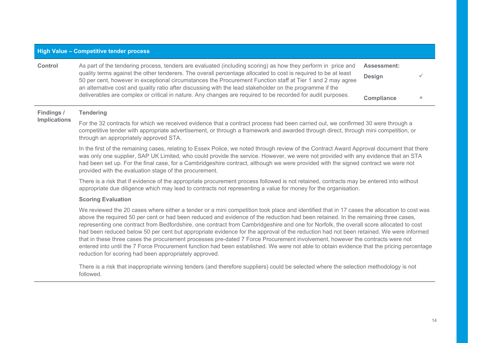#### **High Value – Competitive tender process**

| <b>Control</b> | As part of the tendering process, tenders are evaluated (including scoring) as how they perform in price and<br>quality terms against the other tenderers. The overall percentage allocated to cost is required to be at least<br>50 per cent, however in exceptional circumstances the Procurement Function staff at Tier 1 and 2 may agree | <b>Assessment:</b><br>Design |  |
|----------------|----------------------------------------------------------------------------------------------------------------------------------------------------------------------------------------------------------------------------------------------------------------------------------------------------------------------------------------------|------------------------------|--|
|                | an alternative cost and quality ratio after discussing with the lead stakeholder on the programme if the<br>deliverables are complex or critical in nature. Any changes are required to be recorded for audit purposes.                                                                                                                      | <b>Compliance</b>            |  |

#### **Findings / Tendering**

#### **Implications**  For the 32 contracts for which we received evidence that a contract process had been carried out, we confirmed 30 were through a competitive tender with appropriate advertisement, or through a framework and awarded through direct, through mini competition, or through an appropriately approved STA.

In the first of the remaining cases, relating to Essex Police, we noted through review of the Contract Award Approval document that there was only one supplier, SAP UK Limited, who could provide the service. However, we were not provided with any evidence that an STA had been set up. For the final case, for a Cambridgeshire contract, although we were provided with the signed contract we were not provided with the evaluation stage of the procurement.

There is a risk that if evidence of the appropriate procurement process followed is not retained, contracts may be entered into without appropriate due diligence which may lead to contracts not representing a value for money for the organisation.

#### **Scoring Evaluation**

We reviewed the 20 cases where either a tender or a mini competition took place and identified that in 17 cases the allocation to cost was above the required 50 per cent or had been reduced and evidence of the reduction had been retained. In the remaining three cases, representing one contract from Bedfordshire, one contract from Cambridgeshire and one for Norfolk, the overall score allocated to cost had been reduced below 50 per cent but appropriate evidence for the approval of the reduction had not been retained. We were informed that in these three cases the procurement processes pre-dated 7 Force Procurement involvement, however the contracts were not entered into until the 7 Force Procurement function had been established. We were not able to obtain evidence that the pricing percentage reduction for scoring had been appropriately approved.

There is a risk that inappropriate winning tenders (and therefore suppliers) could be selected where the selection methodology is not followed.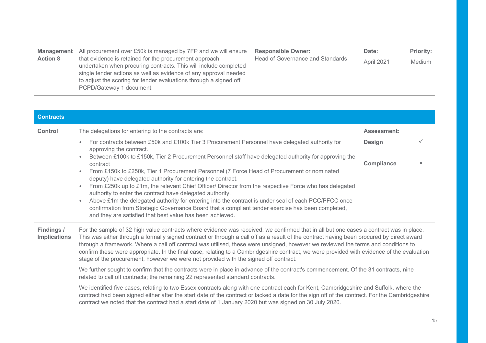| <b>Management</b><br><b>Action 8</b> | All procurement over £50k is managed by 7FP and we will ensure<br>that evidence is retained for the procurement approach<br>undertaken when procuring contracts. This will include completed<br>single tender actions as well as evidence of any approval needed<br>to adjust the scoring for tender evaluations through a signed off<br>PCPD/Gateway 1 document. | <b>Responsible Owner:</b><br>Head of Governance and Standards | Date:<br>April 2021 | <b>Priority:</b><br>Medium |
|--------------------------------------|-------------------------------------------------------------------------------------------------------------------------------------------------------------------------------------------------------------------------------------------------------------------------------------------------------------------------------------------------------------------|---------------------------------------------------------------|---------------------|----------------------------|
|--------------------------------------|-------------------------------------------------------------------------------------------------------------------------------------------------------------------------------------------------------------------------------------------------------------------------------------------------------------------------------------------------------------------|---------------------------------------------------------------|---------------------|----------------------------|

| <b>Contracts</b>                  |                                                                                                                                                                                                                                                                                                                                                                                                                                                                                                                                                                                                                                                                                                                                                                                                                                                                                                                                |                                    |               |
|-----------------------------------|--------------------------------------------------------------------------------------------------------------------------------------------------------------------------------------------------------------------------------------------------------------------------------------------------------------------------------------------------------------------------------------------------------------------------------------------------------------------------------------------------------------------------------------------------------------------------------------------------------------------------------------------------------------------------------------------------------------------------------------------------------------------------------------------------------------------------------------------------------------------------------------------------------------------------------|------------------------------------|---------------|
| Control                           | The delegations for entering to the contracts are:                                                                                                                                                                                                                                                                                                                                                                                                                                                                                                                                                                                                                                                                                                                                                                                                                                                                             | <b>Assessment:</b>                 |               |
|                                   | For contracts between £50k and £100k Tier 3 Procurement Personnel have delegated authority for<br>$\bullet$<br>approving the contract.<br>Between £100k to £150k, Tier 2 Procurement Personnel staff have delegated authority for approving the<br>$\bullet$<br>contract<br>From £150k to £250k, Tier 1 Procurement Personnel (7 Force Head of Procurement or nominated<br>$\bullet$<br>deputy) have delegated authority for entering the contract.<br>From £250k up to £1m, the relevant Chief Officer/ Director from the respective Force who has delegated<br>$\bullet$<br>authority to enter the contract have delegated authority.<br>Above £1m the delegated authority for entering into the contract is under seal of each PCC/PFCC once<br>$\bullet$<br>confirmation from Strategic Governance Board that a compliant tender exercise has been completed,<br>and they are satisfied that best value has been achieved. | <b>Design</b><br><b>Compliance</b> | ✓<br>$\times$ |
| Findings /<br><b>Implications</b> | For the sample of 32 high value contracts where evidence was received, we confirmed that in all but one cases a contract was in place.<br>This was either through a formally signed contract or through a call off as a result of the contract having been procured by direct award<br>through a framework. Where a call off contract was utilised, these were unsigned, however we reviewed the terms and conditions to<br>confirm these were appropriate. In the final case, relating to a Cambridgeshire contract, we were provided with evidence of the evaluation<br>stage of the procurement, however we were not provided with the signed off contract.<br>We further sought to confirm that the contracts were in place in advance of the contract's commencement. Of the 31 contracts, nine                                                                                                                           |                                    |               |
|                                   | related to call off contracts; the remaining 22 represented standard contracts.<br>We identified five cases, relating to two Essex contracts along with one contract each for Kent, Cambridgeshire and Suffolk, where the<br>contract had been signed either after the start date of the contract or lacked a date for the sign off of the contract. For the Cambridgeshire<br>contract we noted that the contract had a start date of 1 January 2020 but was signed on 30 July 2020.                                                                                                                                                                                                                                                                                                                                                                                                                                          |                                    |               |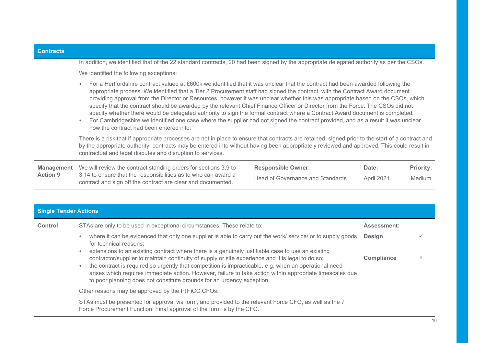| <b>Contracts</b>  |                                                                                                                                                                                                                                                                                                                                                                                                                                                                                                                                                                                                                                                                                                                                                                                                                                                                                |                                  |            |                  |  |  |
|-------------------|--------------------------------------------------------------------------------------------------------------------------------------------------------------------------------------------------------------------------------------------------------------------------------------------------------------------------------------------------------------------------------------------------------------------------------------------------------------------------------------------------------------------------------------------------------------------------------------------------------------------------------------------------------------------------------------------------------------------------------------------------------------------------------------------------------------------------------------------------------------------------------|----------------------------------|------------|------------------|--|--|
|                   | In addition, we identified that of the 22 standard contracts, 20 had been signed by the appropriate delegated authority as per the CSOs.<br>We identified the following exceptions:                                                                                                                                                                                                                                                                                                                                                                                                                                                                                                                                                                                                                                                                                            |                                  |            |                  |  |  |
|                   | For a Hertfordshire contract valued at £600k we identified that it was unclear that the contract had been awarded following the<br>$\bullet$<br>appropriate process. We identified that a Tier 2 Procurement staff had signed the contract, with the Contract Award document<br>providing approval from the Director or Resources, however it was unclear whether this was appropriate based on the CSOs, which<br>specify that the contract should be awarded by the relevant Chief Finance Officer or Director from the Force. The CSOs did not<br>specify whether there would be delegated authority to sign the formal contract where a Contract Award document is completed.<br>For Cambridgeshire we identified one case where the supplier had not signed the contract provided, and as a result it was unclear<br>$\bullet$<br>how the contract had been entered into. |                                  |            |                  |  |  |
|                   | There is a risk that if appropriate processes are not in place to ensure that contracts are retained, signed prior to the start of a contract and<br>by the appropriate authority, contracts may be entered into without having been appropriately reviewed and approved. This could result in<br>contractual and legal disputes and disruption to services.                                                                                                                                                                                                                                                                                                                                                                                                                                                                                                                   |                                  |            |                  |  |  |
| <b>Management</b> | We will review the contract standing orders for sections 3.9 to                                                                                                                                                                                                                                                                                                                                                                                                                                                                                                                                                                                                                                                                                                                                                                                                                | <b>Responsible Owner:</b>        | Date:      | <b>Priority:</b> |  |  |
| <b>Action 9</b>   | 3.14 to ensure that the responsibilities as to who can award a<br>contract and sign off the contract are clear and documented.                                                                                                                                                                                                                                                                                                                                                                                                                                                                                                                                                                                                                                                                                                                                                 | Head of Governance and Standards | April 2021 | <b>Medium</b>    |  |  |
|                   |                                                                                                                                                                                                                                                                                                                                                                                                                                                                                                                                                                                                                                                                                                                                                                                                                                                                                |                                  |            |                  |  |  |

### **Single Tender Actions**

| Control | STAs are only to be used in exceptional circumstances. These relate to:                                                                                                                                                                                                                                                                                                                                        | <b>Assessment:</b> |          |
|---------|----------------------------------------------------------------------------------------------------------------------------------------------------------------------------------------------------------------------------------------------------------------------------------------------------------------------------------------------------------------------------------------------------------------|--------------------|----------|
|         | where it can be evidenced that only one supplier is able to carry out the work/ service/ or to supply goods<br>$\bullet$<br>for technical reasons;<br>extensions to an existing contract where there is a genuinely justifiable case to use an existing<br>$\bullet$                                                                                                                                           | <b>Design</b>      |          |
|         | contractor/supplier to maintain continuity of supply or site experience and it is legal to do so;<br>the contract is required so urgently that competition is impracticable, e.g. when an operational need<br>$\bullet$<br>arises which requires immediate action. However, failure to take action within appropriate timescales due<br>to poor planning does not constitute grounds for an urgency exception. | Compliance         | $\times$ |
|         | Other reasons may be approved by the P(F)CC CFOs.                                                                                                                                                                                                                                                                                                                                                              |                    |          |
|         | STAs must be presented for approval via form, and provided to the relevant Force CFO, as well as the 7<br>Force Procurement Function. Final approval of the form is by the CFO.                                                                                                                                                                                                                                |                    |          |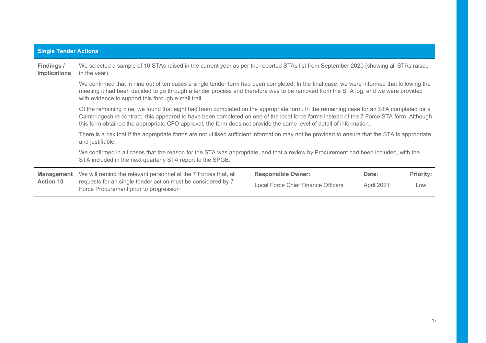| <b>Single Tender Actions</b>                                                                                               |                                                                                                                                                                                                                                                                                                                                                                                                           |                           |       |                  |  |  |  |
|----------------------------------------------------------------------------------------------------------------------------|-----------------------------------------------------------------------------------------------------------------------------------------------------------------------------------------------------------------------------------------------------------------------------------------------------------------------------------------------------------------------------------------------------------|---------------------------|-------|------------------|--|--|--|
| Findings /<br><b>Implications</b>                                                                                          | We selected a sample of 10 STAs raised in the current year as per the reported STAs list from September 2020 (showing all STAs raised<br>in the year).                                                                                                                                                                                                                                                    |                           |       |                  |  |  |  |
|                                                                                                                            | We confirmed that in nine out of ten cases a single tender form had been completed. In the final case, we were informed that following the<br>meeting it had been decided to go through a tender process and therefore was to be removed from the STA log, and we were provided<br>with evidence to support this through e-mail trail.                                                                    |                           |       |                  |  |  |  |
|                                                                                                                            | Of the remaining nine, we found that eight had been completed on the appropriate form. In the remaining case for an STA completed for a<br>Cambridgeshire contract, this appeared to have been completed on one of the local force forms instead of the 7 Force STA form. Although<br>this form obtained the appropriate CFO approval, the form does not provide the same level of detail of information. |                           |       |                  |  |  |  |
|                                                                                                                            | There is a risk that if the appropriate forms are not utilised sufficient information may not be provided to ensure that the STA is appropriate<br>and justifiable.                                                                                                                                                                                                                                       |                           |       |                  |  |  |  |
|                                                                                                                            | We confirmed in all cases that the reason for the STA was appropriate, and that a review by Procurement had been included, with the<br>STA included in the next quarterly STA report to the SPGB.                                                                                                                                                                                                         |                           |       |                  |  |  |  |
| <b>Management</b>                                                                                                          | We will remind the relevant personnel at the 7 Forces that, all                                                                                                                                                                                                                                                                                                                                           | <b>Responsible Owner:</b> | Date: | <b>Priority:</b> |  |  |  |
| requests for an single tender action must be considered by 7<br><b>Action 10</b><br>Force Procurement prior to progression | Local Force Chief Finance Officers                                                                                                                                                                                                                                                                                                                                                                        | April 2021                | Low   |                  |  |  |  |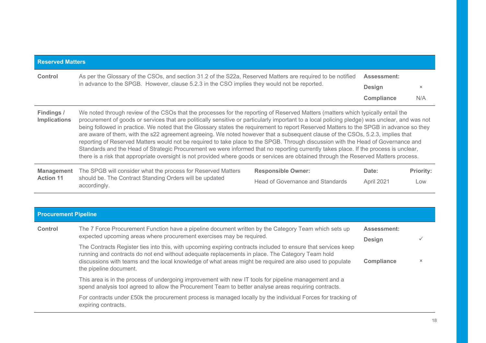| <b>Reserved Matters</b>           |                                                                                                                                                                                                                                                                                                                                                                                                                                                                                                                                                                                                                                                                                                                                                                                                                                                                                                                                                                                       |                                  |                    |                  |
|-----------------------------------|---------------------------------------------------------------------------------------------------------------------------------------------------------------------------------------------------------------------------------------------------------------------------------------------------------------------------------------------------------------------------------------------------------------------------------------------------------------------------------------------------------------------------------------------------------------------------------------------------------------------------------------------------------------------------------------------------------------------------------------------------------------------------------------------------------------------------------------------------------------------------------------------------------------------------------------------------------------------------------------|----------------------------------|--------------------|------------------|
| Control                           | As per the Glossary of the CSOs, and section 31.2 of the S22a, Reserved Matters are required to be notified                                                                                                                                                                                                                                                                                                                                                                                                                                                                                                                                                                                                                                                                                                                                                                                                                                                                           |                                  | <b>Assessment:</b> |                  |
|                                   | in advance to the SPGB. However, clause 5.2.3 in the CSO implies they would not be reported.                                                                                                                                                                                                                                                                                                                                                                                                                                                                                                                                                                                                                                                                                                                                                                                                                                                                                          |                                  | <b>Design</b>      | $\times$         |
|                                   |                                                                                                                                                                                                                                                                                                                                                                                                                                                                                                                                                                                                                                                                                                                                                                                                                                                                                                                                                                                       |                                  | <b>Compliance</b>  | N/A              |
| Findings /<br><b>Implications</b> | We noted through review of the CSOs that the processes for the reporting of Reserved Matters (matters which typically entail the<br>procurement of goods or services that are politically sensitive or particularly important to a local policing pledge) was unclear, and was not<br>being followed in practice. We noted that the Glossary states the requirement to report Reserved Matters to the SPGB in advance so they<br>are aware of them, with the s22 agreement agreeing. We noted however that a subsequent clause of the CSOs, 5.2.3, implies that<br>reporting of Reserved Matters would not be required to take place to the SPGB. Through discussion with the Head of Governance and<br>Standards and the Head of Strategic Procurement we were informed that no reporting currently takes place. If the process is unclear,<br>there is a risk that appropriate oversight is not provided where goods or services are obtained through the Reserved Matters process. |                                  |                    |                  |
| <b>Management</b>                 | The SPGB will consider what the process for Reserved Matters                                                                                                                                                                                                                                                                                                                                                                                                                                                                                                                                                                                                                                                                                                                                                                                                                                                                                                                          | <b>Responsible Owner:</b>        | Date:              | <b>Priority:</b> |
| <b>Action 11</b>                  | should be. The Contract Standing Orders will be updated<br>accordingly.                                                                                                                                                                                                                                                                                                                                                                                                                                                                                                                                                                                                                                                                                                                                                                                                                                                                                                               | Head of Governance and Standards | April 2021         | Low              |

| <b>Procurement Pipeline</b> |                                                                                                                                                                                                                                                                                                                              |                    |          |  |
|-----------------------------|------------------------------------------------------------------------------------------------------------------------------------------------------------------------------------------------------------------------------------------------------------------------------------------------------------------------------|--------------------|----------|--|
| Control                     | The 7 Force Procurement Function have a pipeline document written by the Category Team which sets up                                                                                                                                                                                                                         | <b>Assessment:</b> |          |  |
|                             | expected upcoming areas where procurement exercises may be required.                                                                                                                                                                                                                                                         | <b>Design</b>      |          |  |
|                             | The Contracts Register ties into this, with upcoming expiring contracts included to ensure that services keep<br>running and contracts do not end without adequate replacements in place. The Category Team hold<br>discussions with teams and the local knowledge of what areas might be required are also used to populate | <b>Compliance</b>  | $\times$ |  |
|                             | the pipeline document.                                                                                                                                                                                                                                                                                                       |                    |          |  |
|                             | This area is in the process of undergoing improvement with new IT tools for pipeline management and a<br>spend analysis tool agreed to allow the Procurement Team to better analyse areas requiring contracts.                                                                                                               |                    |          |  |
|                             | For contracts under £50k the procurement process is managed locally by the individual Forces for tracking of<br>expiring contracts.                                                                                                                                                                                          |                    |          |  |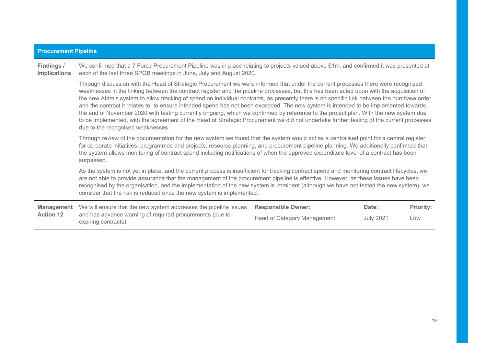| <b>Procurement Pipeline</b>       |                                                                                                                                                                                                                                                                                                                                                                                                                                                                                                                                                                                                                                                                                                                                                                                                                                                                                                |                             |                  |                  |  |  |
|-----------------------------------|------------------------------------------------------------------------------------------------------------------------------------------------------------------------------------------------------------------------------------------------------------------------------------------------------------------------------------------------------------------------------------------------------------------------------------------------------------------------------------------------------------------------------------------------------------------------------------------------------------------------------------------------------------------------------------------------------------------------------------------------------------------------------------------------------------------------------------------------------------------------------------------------|-----------------------------|------------------|------------------|--|--|
| Findings /<br><b>Implications</b> | We confirmed that a 7 Force Procurement Pipeline was in place relating to projects valued above £1m, and confirmed it was presented at<br>each of the last three SPGB meetings in June, July and August 2020.                                                                                                                                                                                                                                                                                                                                                                                                                                                                                                                                                                                                                                                                                  |                             |                  |                  |  |  |
|                                   | Through discussion with the Head of Strategic Procurement we were informed that under the current processes there were recognised<br>weaknesses in the linking between the contract register and the pipeline processes, but this has been acted upon with the acquisition of<br>the new Atamis system to allow tracking of spend on individual contracts, as presently there is no specific link between the purchase order<br>and the contract it relates to, to ensure intended spend has not been exceeded. The new system is intended to be implemented towards<br>the end of November 2020 with testing currently ongoing, which we confirmed by reference to the project plan. With the new system due<br>to be implemented, with the agreement of the Head of Strategic Procurement we did not undertake further testing of the current processes<br>due to the recognised weaknesses. |                             |                  |                  |  |  |
|                                   | Through review of the documentation for the new system we found that the system would act as a centralised point for a central register<br>for corporate initiatives, programmes and projects, resource planning, and procurement pipeline planning. We additionally confirmed that<br>the system allows monitoring of contract spend including notifications of when the approved expenditure level of a contract has been<br>surpassed.                                                                                                                                                                                                                                                                                                                                                                                                                                                      |                             |                  |                  |  |  |
|                                   | As the system is not yet in place, and the current process is insufficient for tracking contract spend and monitoring contract lifecycles, we<br>are not able to provide assurance that the management of the procurement pipeline is effective. However, as these issues have been<br>recognised by the organisation, and the implementation of the new system is imminent (although we have not tested the new system), we<br>consider that the risk is reduced once the new system is implemented.                                                                                                                                                                                                                                                                                                                                                                                          |                             |                  |                  |  |  |
| <b>Management</b>                 | We will ensure that the new system addresses the pipeline issues                                                                                                                                                                                                                                                                                                                                                                                                                                                                                                                                                                                                                                                                                                                                                                                                                               | <b>Responsible Owner:</b>   | Date:            | <b>Priority:</b> |  |  |
| <b>Action 12</b>                  | and has advance warning of required procurements (due to<br>expiring contracts).                                                                                                                                                                                                                                                                                                                                                                                                                                                                                                                                                                                                                                                                                                                                                                                                               | Head of Category Management | <b>July 2021</b> | Low              |  |  |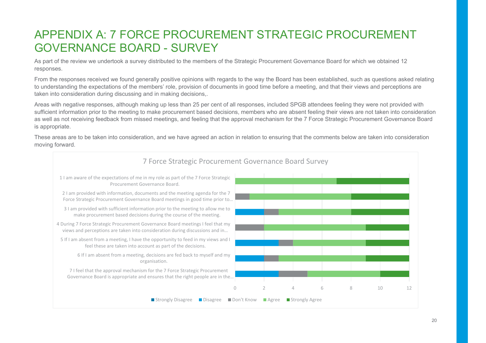## APPENDIX A: 7 FORCE PROCUREMENT STRATEGIC PROCUREMENT GOVERNANCE BOARD - SURVEY

As part of the review we undertook a survey distributed to the members of the Strategic Procurement Governance Board for which we obtained 12 responses.

From the responses received we found generally positive opinions with regards to the way the Board has been established, such as questions asked relating to understanding the expectations of the members' role, provision of documents in good time before a meeting, and that their views and perceptions are taken into consideration during discussing and in making decisions,.

Areas with negative responses, although making up less than 25 per cent of all responses, included SPGB attendees feeling they were not provided with sufficient information prior to the meeting to make procurement based decisions, members who are absent feeling their views are not taken into consideration as well as not receiving feedback from missed meetings, and feeling that the approval mechanism for the 7 Force Strategic Procurement Governance Board is appropriate.

These areas are to be taken into consideration, and we have agreed an action in relation to ensuring that the comments below are taken into consideration moving forward.

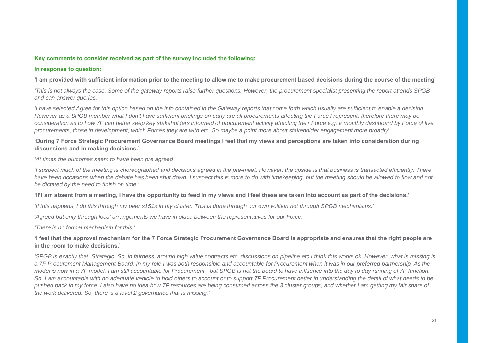#### **Key comments to consider received as part of the survey included the following:**

#### **In response to question:**

**'I am provided with sufficient information prior to the meeting to allow me to make procurement based decisions during the course of the meeting'**

*'This is not always the case. Some of the gateway reports raise further questions. However, the procurement specialist presenting the report attends SPGB and can answer queries.'* 

*'I have selected Agree for this option based on the info contained in the Gateway reports that come forth which usually are sufficient to enable a decision. However as a SPGB member what I don't have sufficient briefings on early are all procurements affecting the Force I represent, therefore there may be consideration as to how 7F can better keep key stakeholders informed of procurement activity affecting their Force e.g. a monthly dashboard by Force of live procurements, those in development, which Forces they are with etc. So maybe a point more about stakeholder engagement more broadly'* 

#### **'During 7 Force Strategic Procurement Governance Board meetings I feel that my views and perceptions are taken into consideration during discussions and in making decisions.'**

*'At times the outcomes seem to have been pre agreed'* 

*'I suspect much of the meeting is choreographed and decisions agreed in the pre-meet. However, the upside is that business is transacted efficiently. There*  have been occasions when the debate has been shut down. I suspect this is more to do with timekeeping, but the meeting should be allowed to flow and not *be dictated by the need to finish on time.'* 

#### **'If I am absent from a meeting, I have the opportunity to feed in my views and I feel these are taken into account as part of the decisions.'**

*'If this happens, I do this through my peer s151s in my cluster. This is done through our own volition not through SPGB mechanisms.'* 

*'Agreed but only through local arrangements we have in place between the representatives for our Force.'* 

*'There is no formal mechanism for this.'* 

#### **'I feel that the approval mechanism for the 7 Force Strategic Procurement Governance Board is appropriate and ensures that the right people are in the room to make decisions.'**

*'SPGB is exactly that. Strategic. So, in fairness, around high value contracts etc, discussions on pipeline etc I think this works ok. However, what is missing is a 7F Procurement Management Board. In my role I was both responsible and accountable for Procurement when it was in our preferred partnership. As the model is now in a 7F model, I am still accountable for Procurement - but SPGB is not the board to have influence into the day to day running of 7F function. So, I am accountable with no adequate vehicle to hold others to account or to support 7F Procurement better in understanding the detail of what needs to be pushed back in my force. I also have no idea how 7F resources are being consumed across the 3 cluster groups, and whether I am getting my fair share of the work delivered. So, there is a level 2 governance that is missing.'*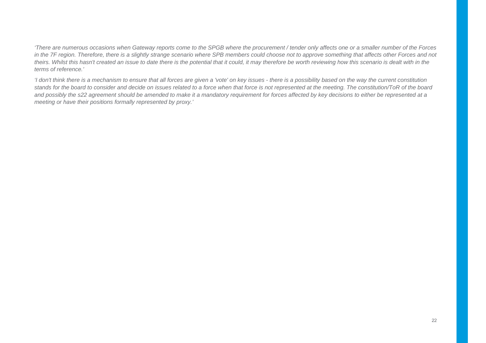*'There are numerous occasions when Gateway reports come to the SPGB where the procurement / tender only affects one or a smaller number of the Forces in the 7F region. Therefore, there is a slightly strange scenario where SPB members could choose not to approve something that affects other Forces and not*  theirs. Whilst this hasn't created an issue to date there is the potential that it could, it may therefore be worth reviewing how this scenario is dealt with in the *terms of reference.'* 

*'I don't think there is a mechanism to ensure that all forces are given a 'vote' on key issues - there is a possibility based on the way the current constitution stands for the board to consider and decide on issues related to a force when that force is not represented at the meeting. The constitution/ToR of the board*  and possibly the s22 agreement should be amended to make it a mandatory requirement for forces affected by key decisions to either be represented at a *meeting or have their positions formally represented by proxy.'*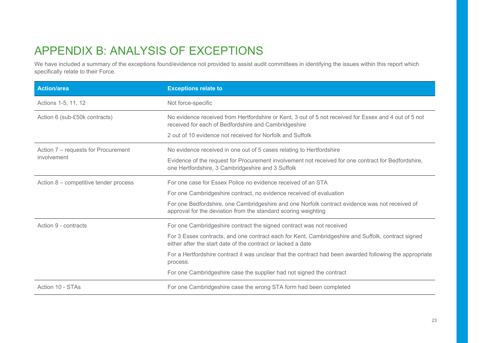# APPENDIX B: ANALYSIS OF EXCEPTIONS

We have included a summary of the exceptions found/evidence not provided to assist audit committees in identifying the issues within this report which specifically relate to their Force.

| <b>Action/area</b>                    | <b>Exceptions relate to</b>                                                                                                                                        |
|---------------------------------------|--------------------------------------------------------------------------------------------------------------------------------------------------------------------|
| Actions 1-5, 11, 12                   | Not force-specific                                                                                                                                                 |
| Action 6 (sub-£50k contracts)         | No evidence received from Hertfordshire or Kent, 3 out of 5 not received for Essex and 4 out of 5 not<br>received for each of Bedfordshire and Cambridgeshire      |
|                                       | 2 out of 10 evidence not received for Norfolk and Suffolk                                                                                                          |
| Action 7 - requests for Procurement   | No evidence received in one out of 5 cases relating to Hertfordshire                                                                                               |
| involvement                           | Evidence of the request for Procurement involvement not received for one contract for Bedfordshire,<br>one Hertfordshire, 3 Cambridgeshire and 3 Suffolk           |
| Action 8 – competitive tender process | For one case for Essex Police no evidence received of an STA                                                                                                       |
|                                       | For one Cambridgeshire contract, no evidence received of evaluation                                                                                                |
|                                       | For one Bedfordshire, one Cambridgeshire and one Norfolk contract evidence was not received of<br>approval for the deviation from the standard scoring weighting   |
| Action 9 - contracts                  | For one Cambridgeshire contract the signed contract was not received                                                                                               |
|                                       | For 3 Essex contracts, and one contract each for Kent, Cambridgeshire and Suffolk, contract signed<br>either after the start date of the contract or lacked a date |
|                                       | For a Hertfordshire contract it was unclear that the contract had been awarded following the appropriate<br>process.                                               |
|                                       | For one Cambridgeshire case the supplier had not signed the contract                                                                                               |
| Action 10 - STAs                      | For one Cambridgeshire case the wrong STA form had been completed                                                                                                  |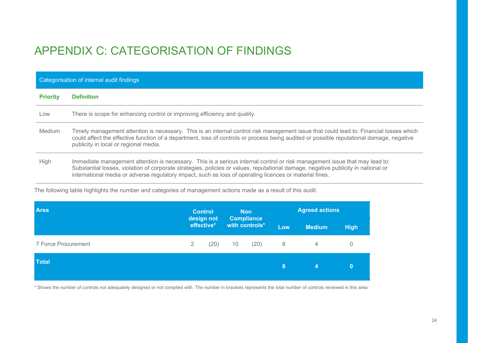# APPENDIX C: CATEGORISATION OF FINDINGS

|                 | Categorisation of internal audit findings                                                                                                                                                                                                                                                                                                                                  |  |  |  |  |
|-----------------|----------------------------------------------------------------------------------------------------------------------------------------------------------------------------------------------------------------------------------------------------------------------------------------------------------------------------------------------------------------------------|--|--|--|--|
| <b>Priority</b> | <b>Definition</b>                                                                                                                                                                                                                                                                                                                                                          |  |  |  |  |
| Low             | There is scope for enhancing control or improving efficiency and quality.                                                                                                                                                                                                                                                                                                  |  |  |  |  |
| <b>Medium</b>   | Timely management attention is necessary. This is an internal control risk management issue that could lead to: Financial losses which<br>could affect the effective function of a department, loss of controls or process being audited or possible reputational damage, negative<br>publicity in local or regional media.                                                |  |  |  |  |
| <b>High</b>     | Immediate management attention is necessary. This is a serious internal control or risk management issue that may lead to:<br>Substantial losses, violation of corporate strategies, policies or values, reputational damage, negative publicity in national or<br>international media or adverse regulatory impact, such as loss of operating licences or material fines. |  |  |  |  |

The following table highlights the number and categories of management actions made as a result of this audit.

| <b>Area</b>         |   | <b>Control</b><br>design not |    | <b>Non</b><br><b>Compliance</b> |     | <b>Agreed actions</b> |                |
|---------------------|---|------------------------------|----|---------------------------------|-----|-----------------------|----------------|
|                     |   | effective*                   |    | with controls*                  | Low | <b>Medium</b>         | <b>High</b>    |
| 7 Force Procurement | 2 | (20)                         | 10 | (20)                            | 8   | $\overline{4}$        | $\overline{0}$ |
| <b>Total</b>        |   |                              |    |                                 | 8   | 4                     | $\bf{0}$       |

\* Shows the number of controls not adequately designed or not complied with. The number in brackets represents the total number of controls reviewed in this area.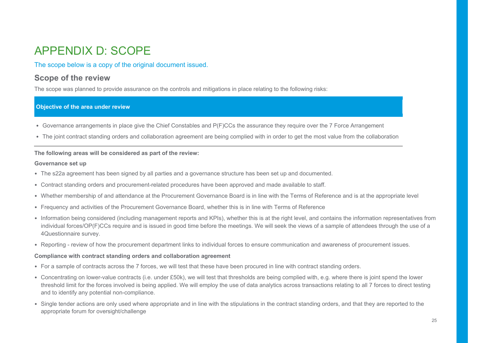# APPENDIX D: SCOPE

### The scope below is a copy of the original document issued.

### **Scope of the review**

The scope was planned to provide assurance on the controls and mitigations in place relating to the following risks:

#### **Objective of the area under review**

- Governance arrangements in place give the Chief Constables and P(F)CCs the assurance they require over the 7 Force Arrangement
- The joint contract standing orders and collaboration agreement are being complied with in order to get the most value from the collaboration

#### **The following areas will be considered as part of the review:**

#### **Governance set up**

- The s22a agreement has been signed by all parties and a governance structure has been set up and documented.
- Contract standing orders and procurement-related procedures have been approved and made available to staff.
- Whether membership of and attendance at the Procurement Governance Board is in line with the Terms of Reference and is at the appropriate level
- Frequency and activities of the Procurement Governance Board, whether this is in line with Terms of Reference
- Information being considered (including management reports and KPIs), whether this is at the right level, and contains the information representatives from individual forces/OP(F)CCs require and is issued in good time before the meetings. We will seek the views of a sample of attendees through the use of a 4Questionnaire survey.
- Reporting review of how the procurement department links to individual forces to ensure communication and awareness of procurement issues.

#### **Compliance with contract standing orders and collaboration agreement**

- For a sample of contracts across the 7 forces, we will test that these have been procured in line with contract standing orders.
- Concentrating on lower-value contracts (i.e. under £50k), we will test that thresholds are being complied with, e.g. where there is joint spend the lower threshold limit for the forces involved is being applied. We will employ the use of data analytics across transactions relating to all 7 forces to direct testing and to identify any potential non-compliance.
- Single tender actions are only used where appropriate and in line with the stipulations in the contract standing orders, and that they are reported to the appropriate forum for oversight/challenge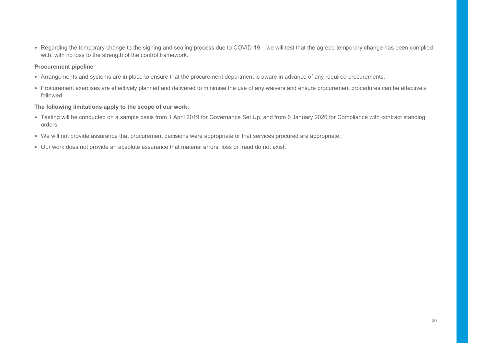• Regarding the temporary change to the signing and sealing process due to COVID-19 – we will test that the agreed temporary change has been complied with, with no loss to the strength of the control framework.

#### **Procurement pipeline**

- Arrangements and systems are in place to ensure that the procurement department is aware in advance of any required procurements.
- Procurement exercises are effectively planned and delivered to minimise the use of any waivers and ensure procurement procedures can be effectively followed.

#### **The following limitations apply to the scope of our work:**

- Testing will be conducted on a sample basis from 1 April 2019 for Governance Set Up, and from 6 January 2020 for Compliance with contract standing orders.
- We will not provide assurance that procurement decisions were appropriate or that services procured are appropriate.
- Our work does not provide an absolute assurance that material errors, loss or fraud do not exist.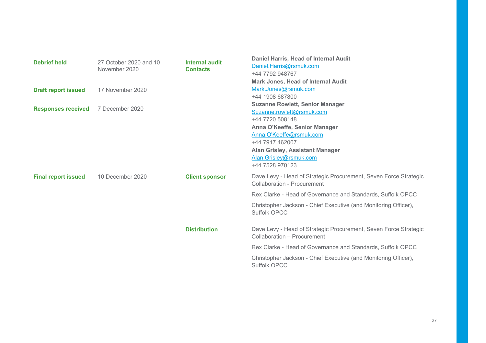| 10 December 2020<br><b>Client sponsor</b><br><b>Final report issued</b><br><b>Collaboration - Procurement</b><br>Rex Clarke - Head of Governance and Standards, Suffolk OPCC<br>Christopher Jackson - Chief Executive (and Monitoring Officer),<br><b>Suffolk OPCC</b><br><b>Distribution</b><br>Collaboration - Procurement<br>Rex Clarke - Head of Governance and Standards, Suffolk OPCC<br>Christopher Jackson - Chief Executive (and Monitoring Officer), | <b>Debrief held</b><br><b>Draft report issued</b><br><b>Responses received</b> | 27 October 2020 and 10<br>November 2020<br>17 November 2020<br>7 December 2020 | Internal audit<br><b>Contacts</b> | Daniel Harris, Head of Internal Audit<br>Daniel.Harris@rsmuk.com<br>+44 7792 948767<br><b>Mark Jones, Head of Internal Audit</b><br>Mark.Jones@rsmuk.com<br>+44 1908 687800<br><b>Suzanne Rowlett, Senior Manager</b><br>Suzanne.rowlett@rsmuk.com<br>+44 7720 508148<br>Anna O'Keeffe, Senior Manager<br>Anna.O'Keeffe@rsmuk.com<br>+44 7917 462007<br><b>Alan Grisley, Assistant Manager</b><br>Alan.Grisley@rsmuk.com<br>+44 7528 970123 |
|----------------------------------------------------------------------------------------------------------------------------------------------------------------------------------------------------------------------------------------------------------------------------------------------------------------------------------------------------------------------------------------------------------------------------------------------------------------|--------------------------------------------------------------------------------|--------------------------------------------------------------------------------|-----------------------------------|---------------------------------------------------------------------------------------------------------------------------------------------------------------------------------------------------------------------------------------------------------------------------------------------------------------------------------------------------------------------------------------------------------------------------------------------|
|                                                                                                                                                                                                                                                                                                                                                                                                                                                                |                                                                                |                                                                                |                                   | Dave Levy - Head of Strategic Procurement, Seven Force Strategic                                                                                                                                                                                                                                                                                                                                                                            |
|                                                                                                                                                                                                                                                                                                                                                                                                                                                                |                                                                                |                                                                                |                                   |                                                                                                                                                                                                                                                                                                                                                                                                                                             |
| Suffolk OPCC                                                                                                                                                                                                                                                                                                                                                                                                                                                   |                                                                                |                                                                                |                                   | Dave Levy - Head of Strategic Procurement, Seven Force Strategic                                                                                                                                                                                                                                                                                                                                                                            |